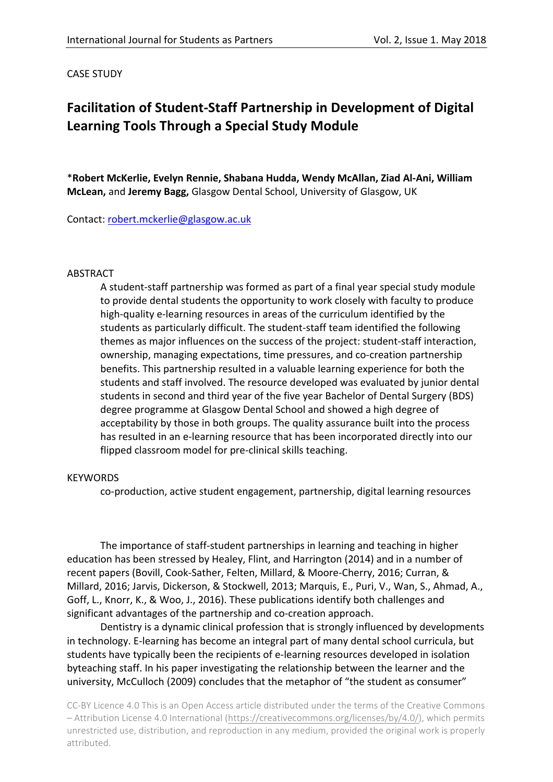#### **CASE STUDY**

# **Facilitation of Student-Staff Partnership in Development of Digital** Learning Tools Through a Special Study Module

\*Robert McKerlie, Evelyn Rennie, Shabana Hudda, Wendy McAllan, Ziad Al-Ani, William **McLean, and Jeremy Bagg, Glasgow Dental School, University of Glasgow, UK** 

Contact: robert.mckerlie@glasgow.ac.uk

#### ABSTRACT

A student-staff partnership was formed as part of a final year special study module to provide dental students the opportunity to work closely with faculty to produce high-quality e-learning resources in areas of the curriculum identified by the students as particularly difficult. The student-staff team identified the following themes as major influences on the success of the project: student-staff interaction, ownership, managing expectations, time pressures, and co-creation partnership benefits. This partnership resulted in a valuable learning experience for both the students and staff involved. The resource developed was evaluated by junior dental students in second and third year of the five year Bachelor of Dental Surgery (BDS) degree programme at Glasgow Dental School and showed a high degree of acceptability by those in both groups. The quality assurance built into the process has resulted in an e-learning resource that has been incorporated directly into our flipped classroom model for pre-clinical skills teaching.

#### **KEYWORDS**

co-production, active student engagement, partnership, digital learning resources

The importance of staff-student partnerships in learning and teaching in higher education has been stressed by Healey, Flint, and Harrington (2014) and in a number of recent papers (Bovill, Cook-Sather, Felten, Millard, & Moore-Cherry, 2016; Curran, & Millard, 2016; Jarvis, Dickerson, & Stockwell, 2013; Marquis, E., Puri, V., Wan, S., Ahmad, A., Goff, L., Knorr, K., & Woo, J., 2016). These publications identify both challenges and significant advantages of the partnership and co-creation approach.

Dentistry is a dynamic clinical profession that is strongly influenced by developments in technology. E-learning has become an integral part of many dental school curricula, but students have typically been the recipients of e-learning resources developed in isolation byteaching staff. In his paper investigating the relationship between the learner and the university, McCulloch (2009) concludes that the metaphor of "the student as consumer"

CC-BY Licence 4.0 This is an Open Access article distributed under the terms of the Creative Commons – Attribution License 4.0 International (https://creativecommons.org/licenses/by/4.0/), which permits unrestricted use, distribution, and reproduction in any medium, provided the original work is properly attributed.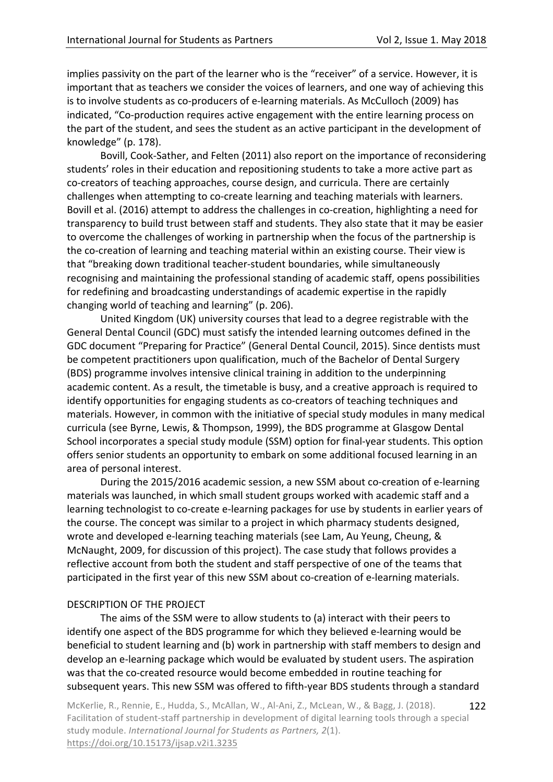implies passivity on the part of the learner who is the "receiver" of a service. However, it is important that as teachers we consider the voices of learners, and one way of achieving this is to involve students as co-producers of e-learning materials. As McCulloch (2009) has indicated, "Co-production requires active engagement with the entire learning process on the part of the student, and sees the student as an active participant in the development of knowledge" (p. 178).

Bovill, Cook-Sather, and Felten (2011) also report on the importance of reconsidering students' roles in their education and repositioning students to take a more active part as co-creators of teaching approaches, course design, and curricula. There are certainly challenges when attempting to co-create learning and teaching materials with learners. Bovill et al. (2016) attempt to address the challenges in co-creation, highlighting a need for transparency to build trust between staff and students. They also state that it may be easier to overcome the challenges of working in partnership when the focus of the partnership is the co-creation of learning and teaching material within an existing course. Their view is that "breaking down traditional teacher-student boundaries, while simultaneously recognising and maintaining the professional standing of academic staff, opens possibilities for redefining and broadcasting understandings of academic expertise in the rapidly changing world of teaching and learning" (p. 206).

United Kingdom (UK) university courses that lead to a degree registrable with the General Dental Council (GDC) must satisfy the intended learning outcomes defined in the GDC document "Preparing for Practice" (General Dental Council, 2015). Since dentists must be competent practitioners upon qualification, much of the Bachelor of Dental Surgery (BDS) programme involves intensive clinical training in addition to the underpinning academic content. As a result, the timetable is busy, and a creative approach is required to identify opportunities for engaging students as co-creators of teaching techniques and materials. However, in common with the initiative of special study modules in many medical curricula (see Byrne, Lewis, & Thompson, 1999), the BDS programme at Glasgow Dental School incorporates a special study module (SSM) option for final-year students. This option offers senior students an opportunity to embark on some additional focused learning in an area of personal interest.

During the 2015/2016 academic session, a new SSM about co-creation of e-learning materials was launched, in which small student groups worked with academic staff and a learning technologist to co-create e-learning packages for use by students in earlier years of the course. The concept was similar to a project in which pharmacy students designed, wrote and developed e-learning teaching materials (see Lam, Au Yeung, Cheung, & McNaught, 2009, for discussion of this project). The case study that follows provides a reflective account from both the student and staff perspective of one of the teams that participated in the first year of this new SSM about co-creation of e-learning materials.

#### DESCRIPTION OF THE PROJECT

The aims of the SSM were to allow students to (a) interact with their peers to identify one aspect of the BDS programme for which they believed e-learning would be beneficial to student learning and (b) work in partnership with staff members to design and develop an e-learning package which would be evaluated by student users. The aspiration was that the co-created resource would become embedded in routine teaching for subsequent years. This new SSM was offered to fifth-year BDS students through a standard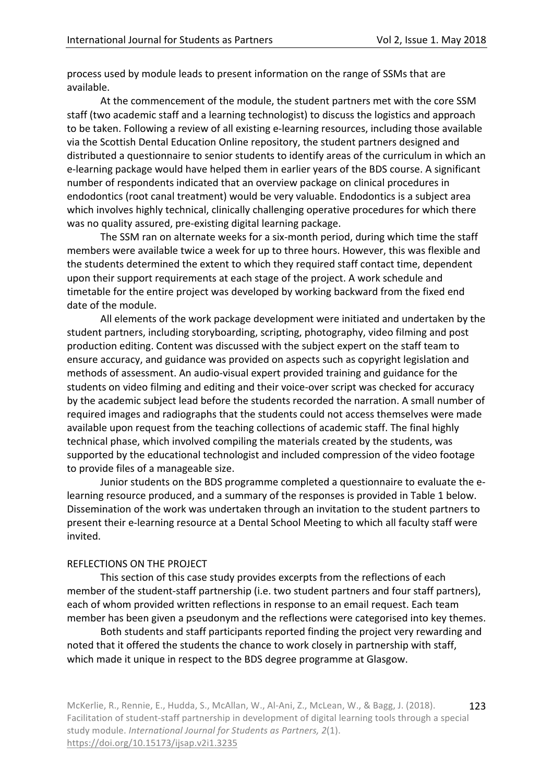process used by module leads to present information on the range of SSMs that are available. 

At the commencement of the module, the student partners met with the core SSM staff (two academic staff and a learning technologist) to discuss the logistics and approach to be taken. Following a review of all existing e-learning resources, including those available via the Scottish Dental Education Online repository, the student partners designed and distributed a questionnaire to senior students to identify areas of the curriculum in which an e-learning package would have helped them in earlier years of the BDS course. A significant number of respondents indicated that an overview package on clinical procedures in endodontics (root canal treatment) would be very valuable. Endodontics is a subject area which involves highly technical, clinically challenging operative procedures for which there was no quality assured, pre-existing digital learning package.

The SSM ran on alternate weeks for a six-month period, during which time the staff members were available twice a week for up to three hours. However, this was flexible and the students determined the extent to which they required staff contact time, dependent upon their support requirements at each stage of the project. A work schedule and timetable for the entire project was developed by working backward from the fixed end date of the module.

All elements of the work package development were initiated and undertaken by the student partners, including storyboarding, scripting, photography, video filming and post production editing. Content was discussed with the subject expert on the staff team to ensure accuracy, and guidance was provided on aspects such as copyright legislation and methods of assessment. An audio-visual expert provided training and guidance for the students on video filming and editing and their voice-over script was checked for accuracy by the academic subject lead before the students recorded the narration. A small number of required images and radiographs that the students could not access themselves were made available upon request from the teaching collections of academic staff. The final highly technical phase, which involved compiling the materials created by the students, was supported by the educational technologist and included compression of the video footage to provide files of a manageable size.

Junior students on the BDS programme completed a questionnaire to evaluate the elearning resource produced, and a summary of the responses is provided in Table 1 below. Dissemination of the work was undertaken through an invitation to the student partners to present their e-learning resource at a Dental School Meeting to which all faculty staff were invited. 

#### REFLECTIONS ON THE PROJECT

This section of this case study provides excerpts from the reflections of each member of the student-staff partnership (i.e. two student partners and four staff partners), each of whom provided written reflections in response to an email request. Each team member has been given a pseudonym and the reflections were categorised into key themes.

Both students and staff participants reported finding the project very rewarding and noted that it offered the students the chance to work closely in partnership with staff, which made it unique in respect to the BDS degree programme at Glasgow.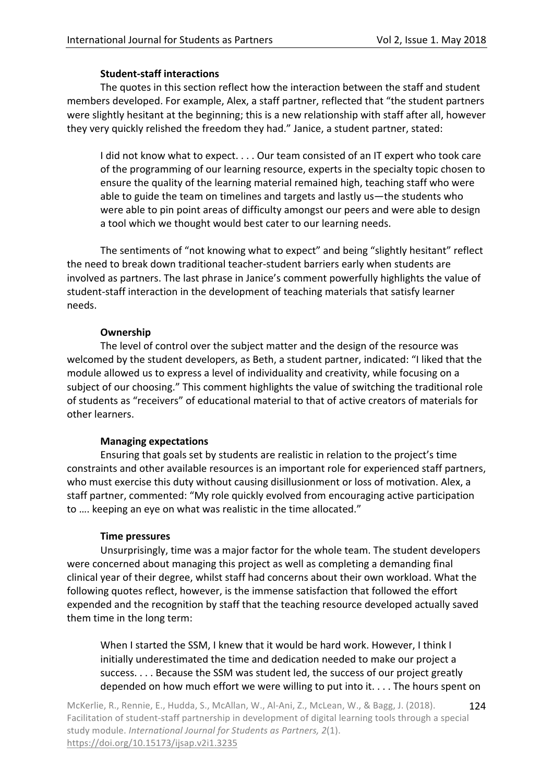### **Student-staff interactions**

The quotes in this section reflect how the interaction between the staff and student members developed. For example, Alex, a staff partner, reflected that "the student partners were slightly hesitant at the beginning; this is a new relationship with staff after all, however they very quickly relished the freedom they had." Janice, a student partner, stated:

I did not know what to expect. . . . Our team consisted of an IT expert who took care of the programming of our learning resource, experts in the specialty topic chosen to ensure the quality of the learning material remained high, teaching staff who were able to guide the team on timelines and targets and lastly us—the students who were able to pin point areas of difficulty amongst our peers and were able to design a tool which we thought would best cater to our learning needs.

The sentiments of "not knowing what to expect" and being "slightly hesitant" reflect the need to break down traditional teacher-student barriers early when students are involved as partners. The last phrase in Janice's comment powerfully highlights the value of student-staff interaction in the development of teaching materials that satisfy learner needs. 

#### **Ownership**

The level of control over the subject matter and the design of the resource was welcomed by the student developers, as Beth, a student partner, indicated: "I liked that the module allowed us to express a level of individuality and creativity, while focusing on a subject of our choosing." This comment highlights the value of switching the traditional role of students as "receivers" of educational material to that of active creators of materials for other learners.

## **Managing expectations**

Ensuring that goals set by students are realistic in relation to the project's time constraints and other available resources is an important role for experienced staff partners, who must exercise this duty without causing disillusionment or loss of motivation. Alex, a staff partner, commented: "My role quickly evolved from encouraging active participation to .... keeping an eye on what was realistic in the time allocated."

## **Time pressures**

Unsurprisingly, time was a major factor for the whole team. The student developers were concerned about managing this project as well as completing a demanding final clinical year of their degree, whilst staff had concerns about their own workload. What the following quotes reflect, however, is the immense satisfaction that followed the effort expended and the recognition by staff that the teaching resource developed actually saved them time in the long term:

When I started the SSM, I knew that it would be hard work. However, I think I initially underestimated the time and dedication needed to make our project a success.  $\dots$  Because the SSM was student led, the success of our project greatly depended on how much effort we were willing to put into it.  $\dots$  The hours spent on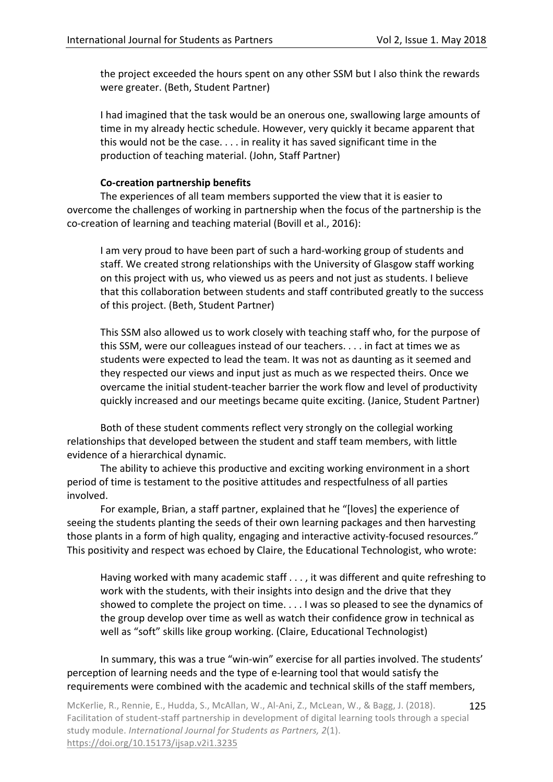the project exceeded the hours spent on any other SSM but I also think the rewards were greater. (Beth, Student Partner)

I had imagined that the task would be an onerous one, swallowing large amounts of time in my already hectic schedule. However, very quickly it became apparent that this would not be the case.  $\dots$  in reality it has saved significant time in the production of teaching material. (John, Staff Partner)

#### **Co-creation partnership benefits**

The experiences of all team members supported the view that it is easier to overcome the challenges of working in partnership when the focus of the partnership is the co-creation of learning and teaching material (Bovill et al., 2016):

I am very proud to have been part of such a hard-working group of students and staff. We created strong relationships with the University of Glasgow staff working on this project with us, who viewed us as peers and not just as students. I believe that this collaboration between students and staff contributed greatly to the success of this project. (Beth, Student Partner)

This SSM also allowed us to work closely with teaching staff who, for the purpose of this SSM, were our colleagues instead of our teachers.  $\dots$  in fact at times we as students were expected to lead the team. It was not as daunting as it seemed and they respected our views and input just as much as we respected theirs. Once we overcame the initial student-teacher barrier the work flow and level of productivity quickly increased and our meetings became quite exciting. (Janice, Student Partner)

Both of these student comments reflect very strongly on the collegial working relationships that developed between the student and staff team members, with little evidence of a hierarchical dynamic.

The ability to achieve this productive and exciting working environment in a short period of time is testament to the positive attitudes and respectfulness of all parties involved. 

For example, Brian, a staff partner, explained that he "[loves] the experience of seeing the students planting the seeds of their own learning packages and then harvesting those plants in a form of high quality, engaging and interactive activity-focused resources." This positivity and respect was echoed by Claire, the Educational Technologist, who wrote:

Having worked with many academic staff  $\dots$ , it was different and quite refreshing to work with the students, with their insights into design and the drive that they showed to complete the project on time.  $\dots$  I was so pleased to see the dynamics of the group develop over time as well as watch their confidence grow in technical as well as "soft" skills like group working. (Claire, Educational Technologist)

In summary, this was a true "win-win" exercise for all parties involved. The students' perception of learning needs and the type of e-learning tool that would satisfy the requirements were combined with the academic and technical skills of the staff members,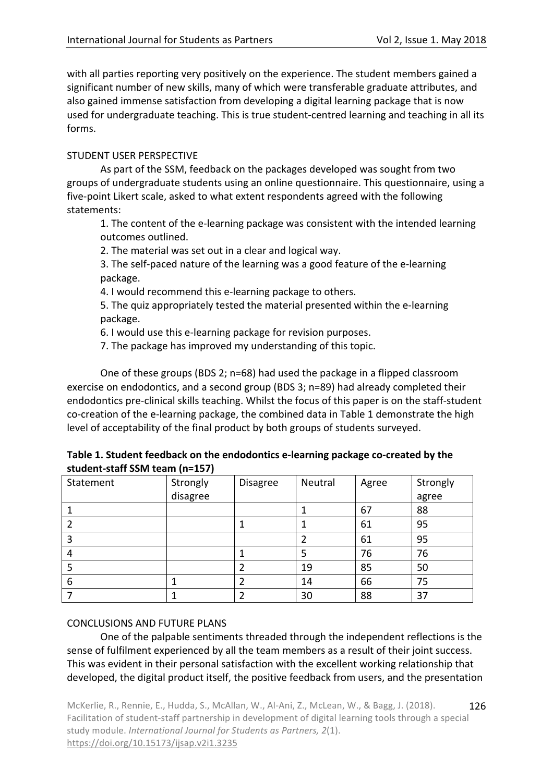with all parties reporting very positively on the experience. The student members gained a significant number of new skills, many of which were transferable graduate attributes, and also gained immense satisfaction from developing a digital learning package that is now used for undergraduate teaching. This is true student-centred learning and teaching in all its forms. 

### STUDENT USER PERSPECTIVE

As part of the SSM, feedback on the packages developed was sought from two groups of undergraduate students using an online questionnaire. This questionnaire, using a five-point Likert scale, asked to what extent respondents agreed with the following statements:

1. The content of the e-learning package was consistent with the intended learning outcomes outlined.

2. The material was set out in a clear and logical way.

3. The self-paced nature of the learning was a good feature of the e-learning package.

4. I would recommend this e-learning package to others.

5. The quiz appropriately tested the material presented within the e-learning package.

6. I would use this e-learning package for revision purposes.

7. The package has improved my understanding of this topic.

One of these groups (BDS 2; n=68) had used the package in a flipped classroom exercise on endodontics, and a second group (BDS 3;  $n=89$ ) had already completed their endodontics pre-clinical skills teaching. Whilst the focus of this paper is on the staff-student co-creation of the e-learning package, the combined data in Table 1 demonstrate the high level of acceptability of the final product by both groups of students surveyed.

| Table 1. Student feedback on the endodontics e-learning package co-created by the |  |
|-----------------------------------------------------------------------------------|--|
| student-staff SSM team (n=157)                                                    |  |

| Statement | Strongly | <b>Disagree</b> | Neutral | Agree | Strongly |
|-----------|----------|-----------------|---------|-------|----------|
|           | disagree |                 |         |       | agree    |
|           |          |                 |         | 67    | 88       |
|           |          |                 |         | 61    | 95       |
|           |          |                 |         | 61    | 95       |
| 4         |          |                 |         | 76    | 76       |
|           |          | 2               | 19      | 85    | 50       |
| 6         |          | 2               | 14      | 66    | 75       |
|           |          | 2               | 30      | 88    | 37       |

## CONCLUSIONS AND FUTURE PLANS

One of the palpable sentiments threaded through the independent reflections is the sense of fulfilment experienced by all the team members as a result of their joint success. This was evident in their personal satisfaction with the excellent working relationship that developed, the digital product itself, the positive feedback from users, and the presentation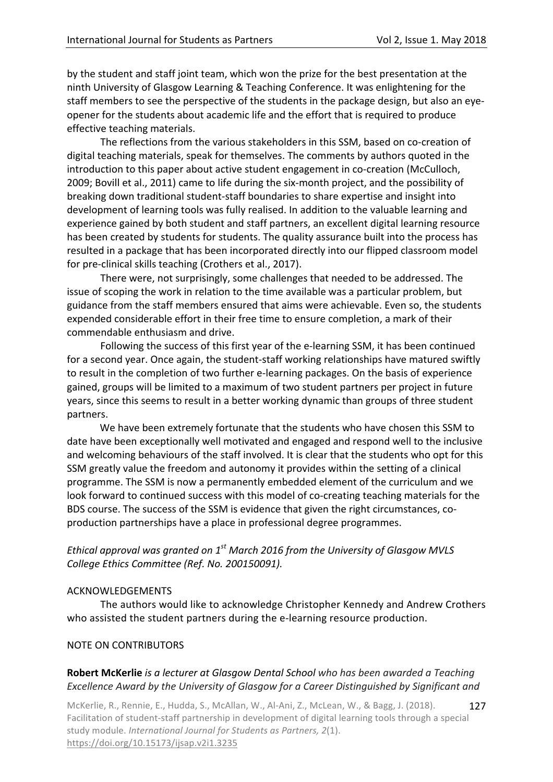by the student and staff joint team, which won the prize for the best presentation at the ninth University of Glasgow Learning & Teaching Conference. It was enlightening for the staff members to see the perspective of the students in the package design, but also an eyeopener for the students about academic life and the effort that is required to produce effective teaching materials.

The reflections from the various stakeholders in this SSM, based on co-creation of digital teaching materials, speak for themselves. The comments by authors quoted in the introduction to this paper about active student engagement in co-creation (McCulloch, 2009; Bovill et al., 2011) came to life during the six-month project, and the possibility of breaking down traditional student-staff boundaries to share expertise and insight into development of learning tools was fully realised. In addition to the valuable learning and experience gained by both student and staff partners, an excellent digital learning resource has been created by students for students. The quality assurance built into the process has resulted in a package that has been incorporated directly into our flipped classroom model for pre-clinical skills teaching (Crothers et al., 2017).

There were, not surprisingly, some challenges that needed to be addressed. The issue of scoping the work in relation to the time available was a particular problem, but guidance from the staff members ensured that aims were achievable. Even so, the students expended considerable effort in their free time to ensure completion, a mark of their commendable enthusiasm and drive.

Following the success of this first year of the e-learning SSM, it has been continued for a second year. Once again, the student-staff working relationships have matured swiftly to result in the completion of two further e-learning packages. On the basis of experience gained, groups will be limited to a maximum of two student partners per project in future years, since this seems to result in a better working dynamic than groups of three student partners. 

We have been extremely fortunate that the students who have chosen this SSM to date have been exceptionally well motivated and engaged and respond well to the inclusive and welcoming behaviours of the staff involved. It is clear that the students who opt for this SSM greatly value the freedom and autonomy it provides within the setting of a clinical programme. The SSM is now a permanently embedded element of the curriculum and we look forward to continued success with this model of co-creating teaching materials for the BDS course. The success of the SSM is evidence that given the right circumstances, coproduction partnerships have a place in professional degree programmes.

# *Ethical approval was granted on*  $1^{st}$  *March 2016 from the University of Glasgow MVLS College Ethics Committee (Ref. No. 200150091).*

#### ACKNOWLEDGEMENTS

The authors would like to acknowledge Christopher Kennedy and Andrew Crothers who assisted the student partners during the e-learning resource production.

#### NOTE ON CONTRIBUTORS

## **Robert McKerlie** *is a lecturer at Glasgow Dental School who has been awarded a Teaching Excellence Award by the University of Glasgow for a Career Distinguished by Significant and*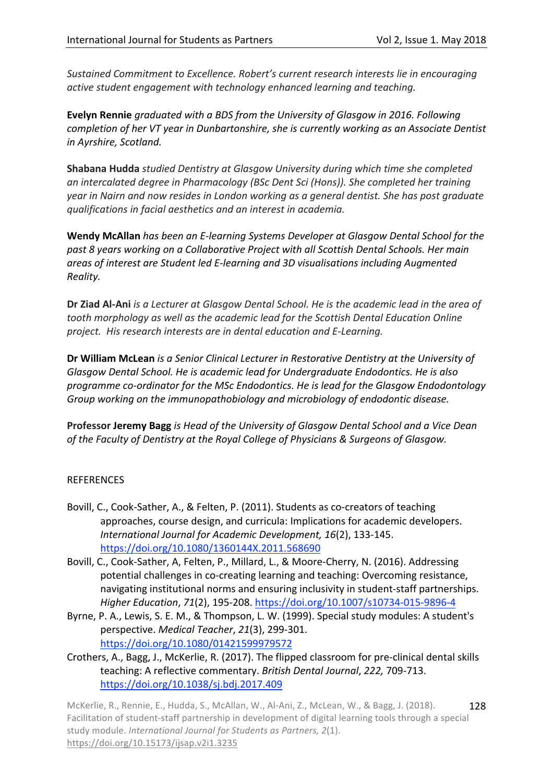*Sustained Commitment to Excellence. Robert's current research interests lie in encouraging active student engagement with technology enhanced learning and teaching.* 

**Evelyn Rennie** graduated with a BDS from the University of Glasgow in 2016. Following *completion of her VT year in Dunbartonshire, she is currently working as an Associate Dentist in Ayrshire, Scotland.* 

**Shabana Hudda** *studied Dentistry at Glasgow University during which time she completed an* intercalated degree in Pharmacology (BSc Dent Sci (Hons)). She completed her training year in Nairn and now resides in London working as a general dentist. She has post graduate *qualifications in facial aesthetics and an interest in academia.* 

**Wendy McAllan** has been an E-learning Systems Developer at Glasgow Dental School for the past 8 years working on a Collaborative Project with all Scottish Dental Schools. Her main areas of interest are Student led E-learning and 3D visualisations including Augmented *Reality.*

**Dr Ziad Al-Ani** *is a Lecturer at Glasgow Dental School. He is the academic lead in the area of* tooth morphology as well as the academic lead for the Scottish Dental Education Online project. His research interests are in dental education and E-Learning.

**Dr William McLean** *is a Senior Clinical Lecturer in Restorative Dentistry at the University of* Glasgow Dental School. He is academic lead for Undergraduate Endodontics. He is also programme co-ordinator for the MSc Endodontics. He is lead for the Glasgow Endodontology Group working on the immunopathobiology and microbiology of endodontic disease.

**Professor Jeremy Bagg** is Head of the University of Glasgow Dental School and a Vice Dean *of the Faculty of Dentistry at the Royal College of Physicians & Surgeons of Glasgow.* 

## REFERENCES

- Bovill, C., Cook-Sather, A., & Felten, P. (2011). Students as co-creators of teaching approaches, course design, and curricula: Implications for academic developers. *International Journal for Academic Development, 16*(2), 133-145. https://doi.org/10.1080/1360144X.2011.568690
- Bovill, C., Cook-Sather, A, Felten, P., Millard, L., & Moore-Cherry, N. (2016). Addressing potential challenges in co-creating learning and teaching: Overcoming resistance, navigating institutional norms and ensuring inclusivity in student-staff partnerships. *Higher Education*, *71*(2), 195-208. https://doi.org/10.1007/s10734-015-9896-4
- Byrne, P. A., Lewis, S. E. M., & Thompson, L. W. (1999). Special study modules: A student's perspective. *Medical Teacher*, *21*(3), 299-301. https://doi.org/10.1080/01421599979572
- Crothers, A., Bagg, J., McKerlie, R. (2017). The flipped classroom for pre-clinical dental skills teaching: A reflective commentary. *British Dental Journal*, 222, 709-713. https://doi.org/10.1038/sj.bdj.2017.409